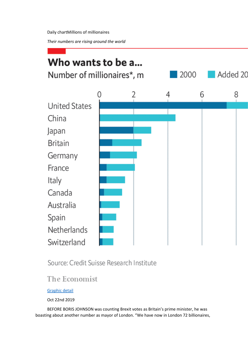*Their numbers are rising around the world*



# Source: Credit Suisse Research Institute

# The Economist

### [Graphic detail](https://www.economist.com/graphic-detail/)

Oct 22nd 2019

BEFORE BORIS JOHNSON was counting Brexit votes as Britain's prime minister, he was boasting about another number as mayor of London. "We have now in London 72 billionaires,